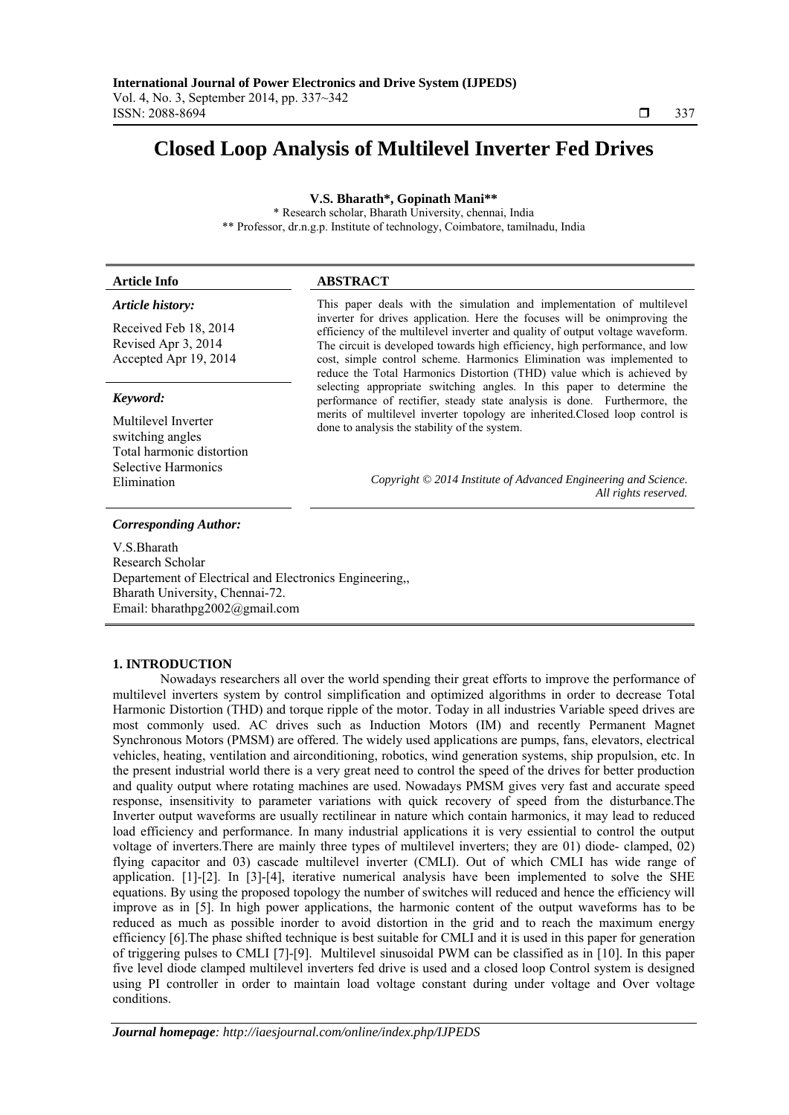# **Closed Loop Analysis of Multilevel Inverter Fed Drives**

**V.S. Bharath\*, Gopinath Mani\*\*** 

\* Research scholar, Bharath University, chennai, India \*\* Professor, dr.n.g.p. Institute of technology, Coimbatore, tamilnadu, India

| <b>Article Info</b> | <b>ABSTRACT</b> |
|---------------------|-----------------|
|                     |                 |
|                     |                 |

#### *Article history:*

Received Feb 18, 2014 Revised Apr 3, 2014 Accepted Apr 19, 2014

#### *Keyword:*

Multilevel Inverter switching angles Total harmonic distortion Selective Harmonics

This paper deals with the simulation and implementation of multilevel inverter for drives application. Here the focuses will be onimproving the efficiency of the multilevel inverter and quality of output voltage waveform. The circuit is developed towards high efficiency, high performance, and low cost, simple control scheme. Harmonics Elimination was implemented to reduce the Total Harmonics Distortion (THD) value which is achieved by selecting appropriate switching angles. In this paper to determine the performance of rectifier, steady state analysis is done. Furthermore, the merits of multilevel inverter topology are inherited.Closed loop control is done to analysis the stability of the system.

Elimination *Copyright © 2014 Institute of Advanced Engineering and Science. All rights reserved.* 

### *Corresponding Author:*

V.S.Bharath Research Scholar Departement of Electrical and Electronics Engineering,, Bharath University, Chennai-72. Email: bharathpg2002@gmail.com

#### **1. INTRODUCTION**

Nowadays researchers all over the world spending their great efforts to improve the performance of multilevel inverters system by control simplification and optimized algorithms in order to decrease Total Harmonic Distortion (THD) and torque ripple of the motor. Today in all industries Variable speed drives are most commonly used. AC drives such as Induction Motors (IM) and recently Permanent Magnet Synchronous Motors (PMSM) are offered. The widely used applications are pumps, fans, elevators, electrical vehicles, heating, ventilation and airconditioning, robotics, wind generation systems, ship propulsion, etc. In the present industrial world there is a very great need to control the speed of the drives for better production and quality output where rotating machines are used. Nowadays PMSM gives very fast and accurate speed response, insensitivity to parameter variations with quick recovery of speed from the disturbance.The Inverter output waveforms are usually rectilinear in nature which contain harmonics, it may lead to reduced load efficiency and performance. In many industrial applications it is very essiential to control the output voltage of inverters.There are mainly three types of multilevel inverters; they are 01) diode- clamped, 02) flying capacitor and 03) cascade multilevel inverter (CMLI). Out of which CMLI has wide range of application. [1]-[2]. In [3]-[4], iterative numerical analysis have been implemented to solve the SHE equations. By using the proposed topology the number of switches will reduced and hence the efficiency will improve as in [5]. In high power applications, the harmonic content of the output waveforms has to be reduced as much as possible inorder to avoid distortion in the grid and to reach the maximum energy efficiency [6].The phase shifted technique is best suitable for CMLI and it is used in this paper for generation of triggering pulses to CMLI [7]-[9]. Multilevel sinusoidal PWM can be classified as in [10]. In this paper five level diode clamped multilevel inverters fed drive is used and a closed loop Control system is designed using PI controller in order to maintain load voltage constant during under voltage and Over voltage conditions.

ֺֺ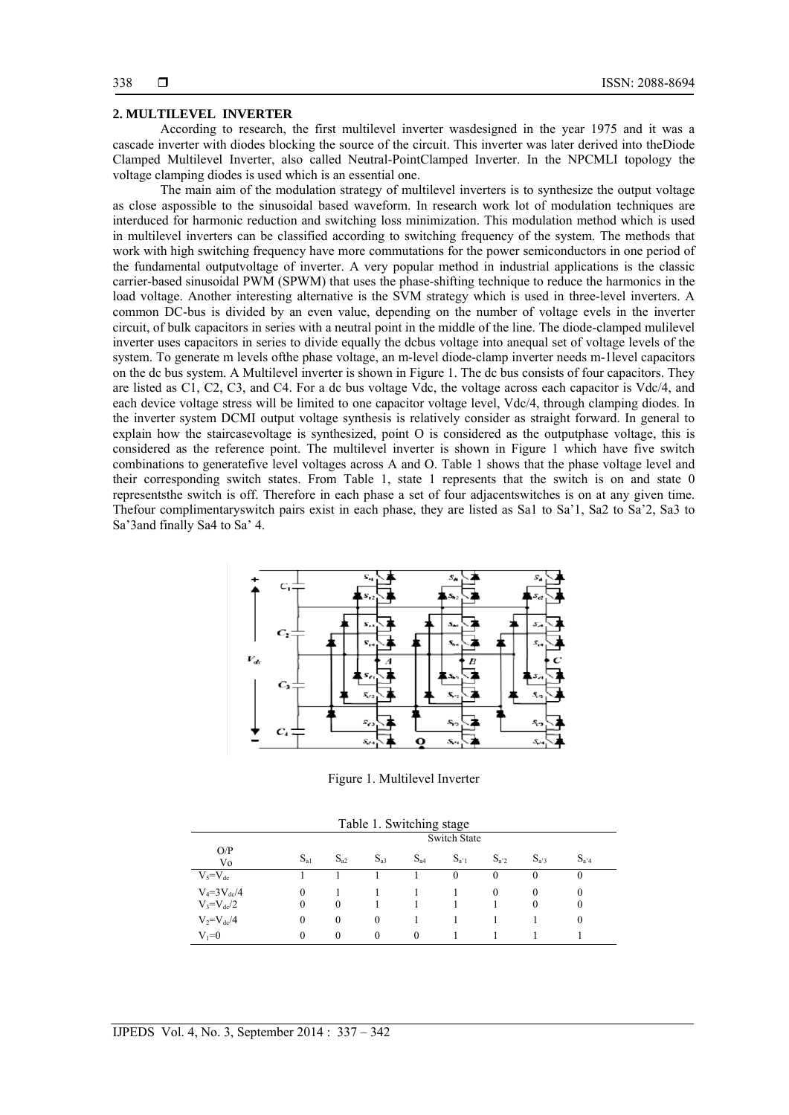#### **2. MULTILEVEL INVERTER**

According to research, the first multilevel inverter wasdesigned in the year 1975 and it was a cascade inverter with diodes blocking the source of the circuit. This inverter was later derived into theDiode Clamped Multilevel Inverter, also called Neutral-PointClamped Inverter. In the NPCMLI topology the voltage clamping diodes is used which is an essential one.

The main aim of the modulation strategy of multilevel inverters is to synthesize the output voltage as close aspossible to the sinusoidal based waveform. In research work lot of modulation techniques are interduced for harmonic reduction and switching loss minimization. This modulation method which is used in multilevel inverters can be classified according to switching frequency of the system. The methods that work with high switching frequency have more commutations for the power semiconductors in one period of the fundamental outputvoltage of inverter. A very popular method in industrial applications is the classic carrier-based sinusoidal PWM (SPWM) that uses the phase-shifting technique to reduce the harmonics in the load voltage. Another interesting alternative is the SVM strategy which is used in three-level inverters. A common DC-bus is divided by an even value, depending on the number of voltage evels in the inverter circuit, of bulk capacitors in series with a neutral point in the middle of the line. The diode-clamped mulilevel inverter uses capacitors in series to divide equally the dcbus voltage into anequal set of voltage levels of the system. To generate m levels ofthe phase voltage, an m-level diode-clamp inverter needs m-1level capacitors on the dc bus system. A Multilevel inverter is shown in Figure 1. The dc bus consists of four capacitors. They are listed as C1, C2, C3, and C4. For a dc bus voltage Vdc, the voltage across each capacitor is Vdc/4, and each device voltage stress will be limited to one capacitor voltage level, Vdc/4, through clamping diodes. In the inverter system DCMI output voltage synthesis is relatively consider as straight forward. In general to explain how the staircasevoltage is synthesized, point O is considered as the outputphase voltage, this is considered as the reference point. The multilevel inverter is shown in Figure 1 which have five switch combinations to generatefive level voltages across A and O. Table 1 shows that the phase voltage level and their corresponding switch states. From Table 1, state 1 represents that the switch is on and state 0 representsthe switch is off. Therefore in each phase a set of four adjacentswitches is on at any given time. Thefour complimentaryswitch pairs exist in each phase, they are listed as Sa1 to Sa'1, Sa2 to Sa'2, Sa3 to Sa'3and finally Sa4 to Sa' 4.



Figure 1. Multilevel Inverter

| Table 1. Switching stage |  |  |
|--------------------------|--|--|
|--------------------------|--|--|

|                    |          | <b>Switch State</b> |          |          |           |          |           |           |  |  |  |
|--------------------|----------|---------------------|----------|----------|-----------|----------|-----------|-----------|--|--|--|
| O/P<br>Vo          | $S_{a1}$ | $S_{a2}$            | $S_{a3}$ | $S_{a4}$ | $S_{a'1}$ | $S_{a2}$ | $S_{a'3}$ | $S_{a'4}$ |  |  |  |
| $V_5 = V_{dc}$     |          |                     |          |          | $\theta$  | $\theta$ | $\theta$  | 0         |  |  |  |
| $V_4 = 3V_{dc}/4$  | $\Omega$ |                     |          |          |           | $\Omega$ | $\theta$  | 0         |  |  |  |
| $V_3 = V_{dc}/2$   | $\theta$ | $\mathbf{0}$        |          |          |           |          | $\theta$  | 0         |  |  |  |
| $V_2 = V_{dc} / 4$ | $\theta$ | $\mathbf{0}$        | $\Omega$ |          |           |          |           | 0         |  |  |  |
| $V_1 = 0$          | $\Omega$ | $\theta$            | $\theta$ | $\Omega$ |           |          |           |           |  |  |  |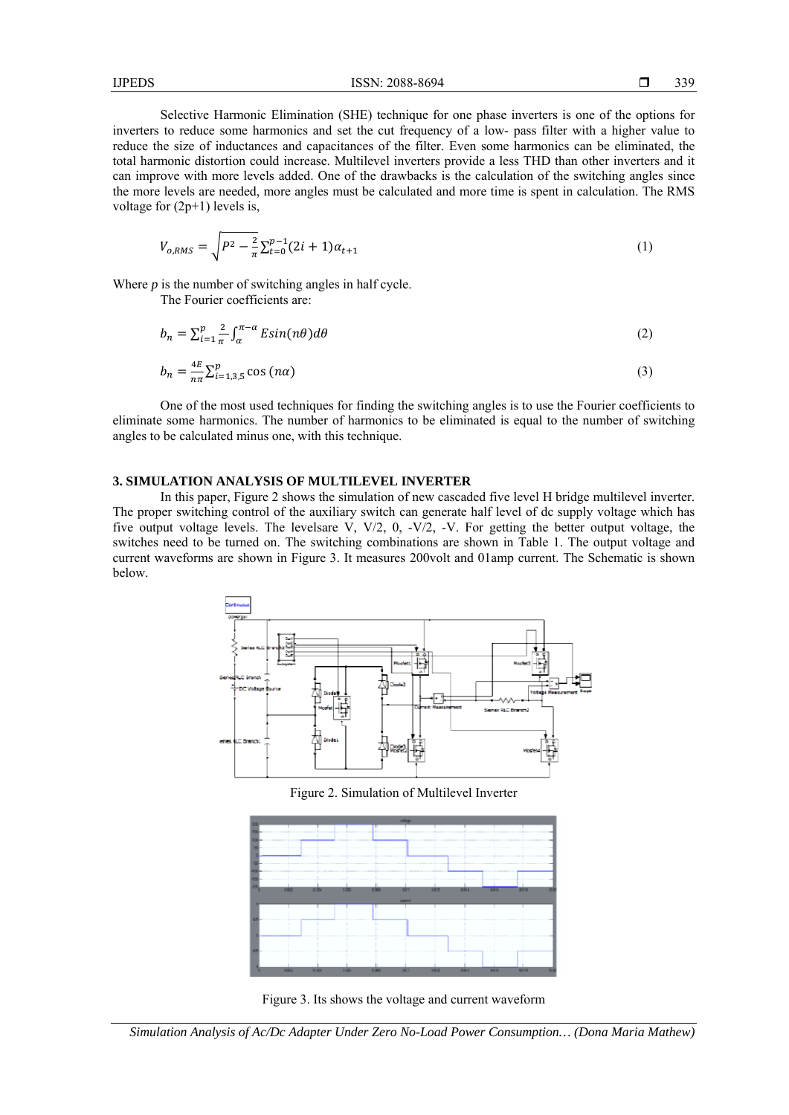Selective Harmonic Elimination (SHE) technique for one phase inverters is one of the options for inverters to reduce some harmonics and set the cut frequency of a low- pass filter with a higher value to reduce the size of inductances and capacitances of the filter. Even some harmonics can be eliminated, the total harmonic distortion could increase. Multilevel inverters provide a less THD than other inverters and it can improve with more levels added. One of the drawbacks is the calculation of the switching angles since the more levels are needed, more angles must be calculated and more time is spent in calculation. The RMS voltage for  $(2p+1)$  levels is,

$$
V_{o,RMS} = \sqrt{P^2 - \frac{2}{\pi} \sum_{t=0}^{p-1} (2i+1)\alpha_{t+1}}
$$
(1)

Where *p* is the number of switching angles in half cycle.

The Fourier coefficients are:

$$
b_n = \sum_{i=1}^p \frac{1}{n} \int_{\alpha}^{\pi-\alpha} E \sin(n\theta) d\theta \tag{2}
$$

$$
b_n = \frac{4E}{n\pi} \sum_{i=1,3,5}^p \cos(n\alpha) \tag{3}
$$

One of the most used techniques for finding the switching angles is to use the Fourier coefficients to eliminate some harmonics. The number of harmonics to be eliminated is equal to the number of switching angles to be calculated minus one, with this technique.

## **3. SIMULATION ANALYSIS OF MULTILEVEL INVERTER**

In this paper, Figure 2 shows the simulation of new cascaded five level H bridge multilevel inverter. The proper switching control of the auxiliary switch can generate half level of dc supply voltage which has five output voltage levels. The levelsare V, V/2, 0, -V/2, -V. For getting the better output voltage, the switches need to be turned on. The switching combinations are shown in Table 1. The output voltage and current waveforms are shown in Figure 3. It measures 200volt and 01amp current. The Schematic is shown below.



Figure 2. Simulation of Multilevel Inverter



Figure 3. Its shows the voltage and current waveform

*Simulation Analysis of Ac/Dc Adapter Under Zero No-Load Power Consumption… (Dona Maria Mathew)*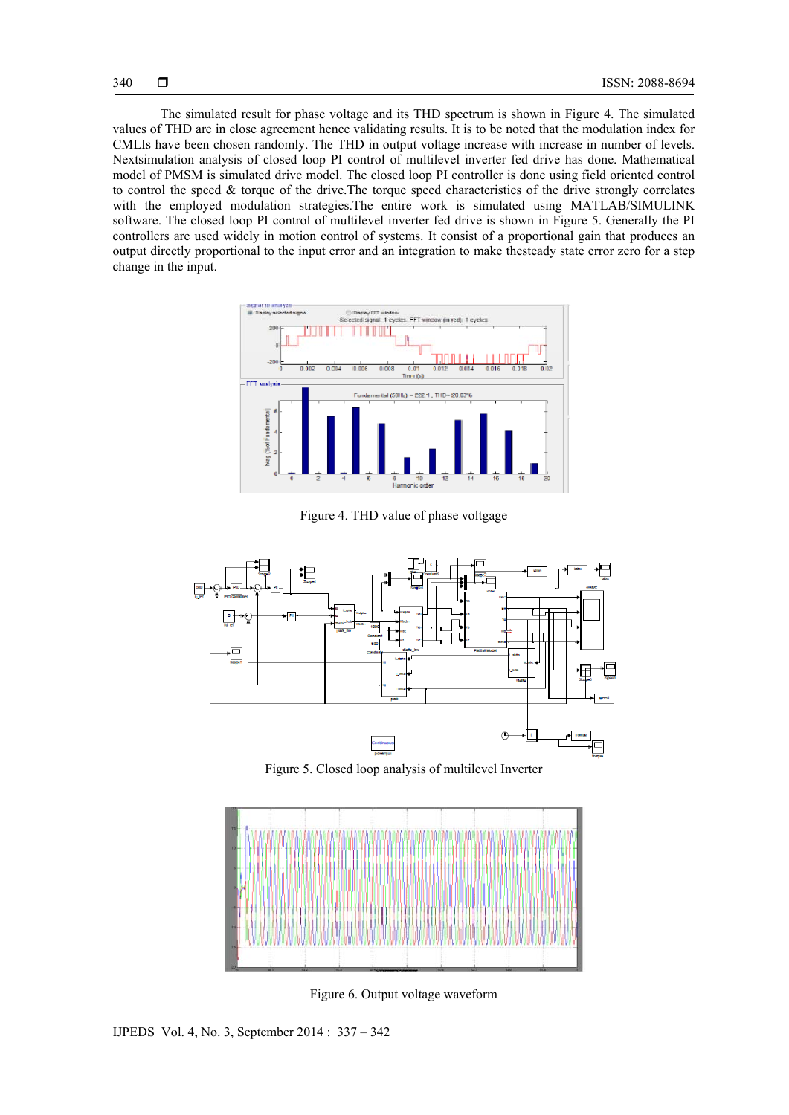The simulated result for phase voltage and its THD spectrum is shown in Figure 4. The simulated values of THD are in close agreement hence validating results. It is to be noted that the modulation index for CMLIs have been chosen randomly. The THD in output voltage increase with increase in number of levels. Nextsimulation analysis of closed loop PI control of multilevel inverter fed drive has done. Mathematical model of PMSM is simulated drive model. The closed loop PI controller is done using field oriented control to control the speed & torque of the drive.The torque speed characteristics of the drive strongly correlates with the employed modulation strategies.The entire work is simulated using MATLAB/SIMULINK software. The closed loop PI control of multilevel inverter fed drive is shown in Figure 5. Generally the PI controllers are used widely in motion control of systems. It consist of a proportional gain that produces an output directly proportional to the input error and an integration to make thesteady state error zero for a step change in the input.



Figure 4. THD value of phase voltgage



Figure 5. Closed loop analysis of multilevel Inverter



Figure 6. Output voltage waveform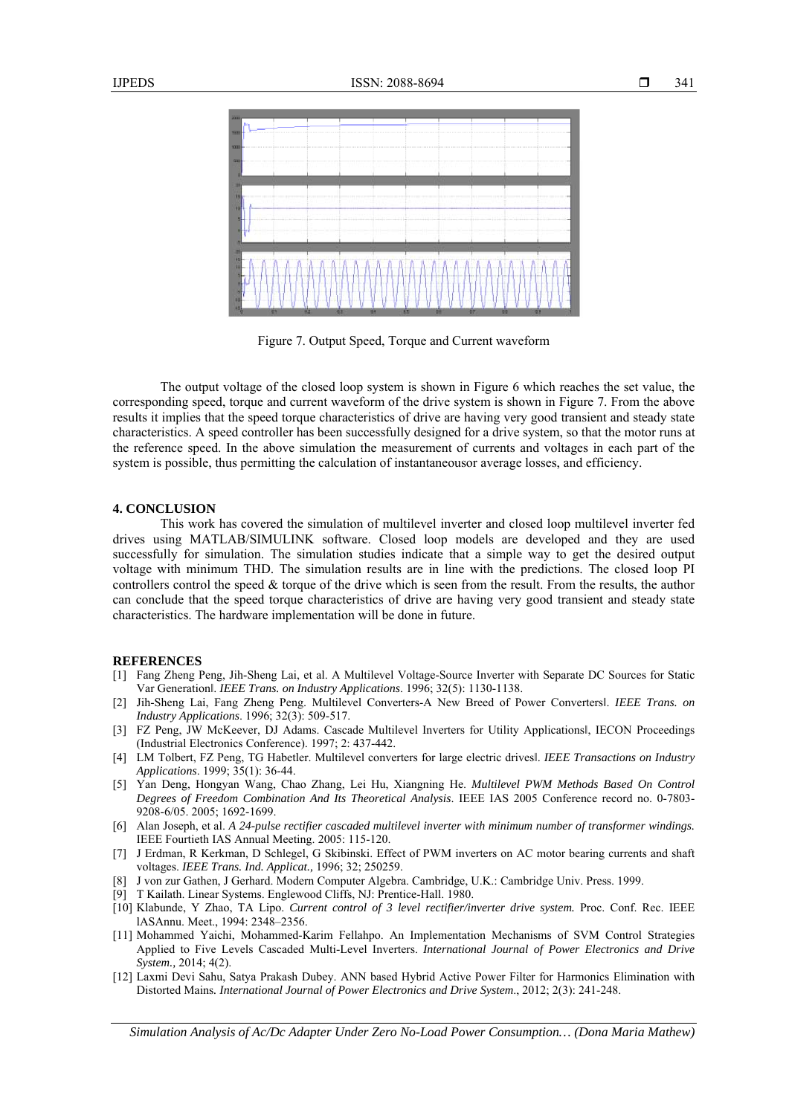

Figure 7. Output Speed, Torque and Current waveform

The output voltage of the closed loop system is shown in Figure 6 which reaches the set value, the corresponding speed, torque and current waveform of the drive system is shown in Figure 7. From the above results it implies that the speed torque characteristics of drive are having very good transient and steady state characteristics. A speed controller has been successfully designed for a drive system, so that the motor runs at the reference speed. In the above simulation the measurement of currents and voltages in each part of the system is possible, thus permitting the calculation of instantaneousor average losses, and efficiency.

#### **4. CONCLUSION**

This work has covered the simulation of multilevel inverter and closed loop multilevel inverter fed drives using MATLAB/SIMULINK software. Closed loop models are developed and they are used successfully for simulation. The simulation studies indicate that a simple way to get the desired output voltage with minimum THD. The simulation results are in line with the predictions. The closed loop PI controllers control the speed  $\&$  torque of the drive which is seen from the result. From the results, the author can conclude that the speed torque characteristics of drive are having very good transient and steady state characteristics. The hardware implementation will be done in future.

#### **REFERENCES**

- [1] Fang Zheng Peng, Jih-Sheng Lai, et al. A Multilevel Voltage-Source Inverter with Separate DC Sources for Static Var Generationǁ. *IEEE Trans. on Industry Applications*. 1996; 32(5): 1130-1138.
- [2] Jih-Sheng Lai, Fang Zheng Peng. Multilevel Converters-A New Breed of Power Convertersl. IEEE Trans. on *Industry Applications*. 1996; 32(3): 509-517.
- [3] FZ Peng, JW McKeever, DJ Adams. Cascade Multilevel Inverters for Utility Applicationsl, IECON Proceedings (Industrial Electronics Conference). 1997; 2: 437-442.
- [4] LM Tolbert, FZ Peng, TG Habetler. Multilevel converters for large electric drivesǁ. *IEEE Transactions on Industry Applications*. 1999; 35(1): 36-44.
- [5] Yan Deng, Hongyan Wang, Chao Zhang, Lei Hu, Xiangning He. *Multilevel PWM Methods Based On Control Degrees of Freedom Combination And Its Theoretical Analysis*. IEEE IAS 2005 Conference record no. 0-7803- 9208-6/05. 2005; 1692-1699.
- [6] Alan Joseph, et al. *A 24-pulse rectifier cascaded multilevel inverter with minimum number of transformer windings.* IEEE Fourtieth IAS Annual Meeting. 2005: 115-120.
- [7] J Erdman, R Kerkman, D Schlegel, G Skibinski. Effect of PWM inverters on AC motor bearing currents and shaft voltages. *IEEE Trans. Ind. Applicat.,* 1996; 32; 250259.
- [8] J von zur Gathen, J Gerhard. Modern Computer Algebra. Cambridge, U.K.: Cambridge Univ. Press. 1999.
- [9] T Kailath. Linear Systems. Englewood Cliffs, NJ: Prentice-Hall. 1980.
- [10] Klabunde, Y Zhao, TA Lipo. *Current control of 3 level rectifier/inverter drive system.* Proc. Conf. Rec. IEEE lASAnnu. Meet., 1994: 2348–2356.
- [11] Mohammed Yaichi, Mohammed-Karim Fellahpo. An Implementation Mechanisms of SVM Control Strategies Applied to Five Levels Cascaded Multi-Level Inverters. *International Journal of Power Electronics and Drive System.,* 2014; 4(2).
- [12] Laxmi Devi Sahu, Satya Prakash Dubey. ANN based Hybrid Active Power Filter for Harmonics Elimination with Distorted Mains*. International Journal of Power Electronics and Drive System*., 2012; 2(3): 241-248.